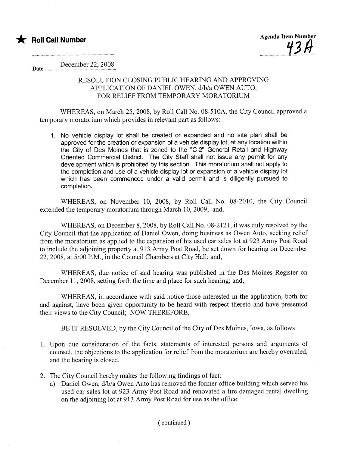

Date.... December 22, 200S

# RESOLUTION CLOSING PUBLIC HEARING AND APPROVING APPLICATION OF DANIEL OWEN, d/b/a OWEN AUTO, FOR RELIEF FROM TEMPORARY MORATORIUM

WHEREAS, on March 25,2008, by Roll Call No. OS-510A, the City Council approved a temporary moratorium which provides in relevant part as follows:

1. No vehicle display lot shall be created or expanded and no site plan shall be approved for the creation or expansion of a vehicle display lot, at any location within the City of Des Moines that is zoned to the "C-2" General Retail and Highway Oriented Commercial District. The City Staff shall not issue any permit for any development which is prohibited by this section. This moratorium shall not apply to the completion and use of a vehicle display lot or expansion of a vehicle display lot which has been commenced under a valid permit and is diligently pursued to completion.

WHEREAS, on November 10, 200S, by Roll Call No. OS-2010, the City Council extended the temporary moratorium through March 10,2009; and,

WHEREAS, on December S, 200S, by Roll Call No. OS-2121, it was duly resolved by the City Council that the application of Daniel Owen, doing business as Owen Auto, seeking relief from the moratorium as applied to the expansion of his used car sales lot at 923 Army Post Road to include the adjoining property at 913 Army Post Road, be set down for hearing on December 22,2008, at 5:00 P.M., in the Council Chambers at City Hall; and,

WHEREAS, due notice of said hearing was published in the Des Moines Register on December 11, 200S, setting forth the time and place for such hearing; and,

WHEREAS, in accordance with said notice those interested in the application, both for and against, have been given opportunity to be heard with respect thereto and have presented their views to the City Council; NOW THEREFORE,

BE IT RESOLVED, by the City Council of the City of Des Moines, Iowa, as follows:

- 1. Upon due consideration of the facts, statements of interested persons and arguments of counsel, the objections to the application for relief from the moratorium are hereby overruled, and the hearing is closed.
- 2. The City Council hereby makes the following findings of fact:
	- a) Daniel Owen,  $d/b/a$  Owen Auto has removed the former office building which served his used car sales lot at 923 Army Post Road and renovated a fire damaged rental dwelling on the adjoining lot at 913 Army Post Road for use as the office.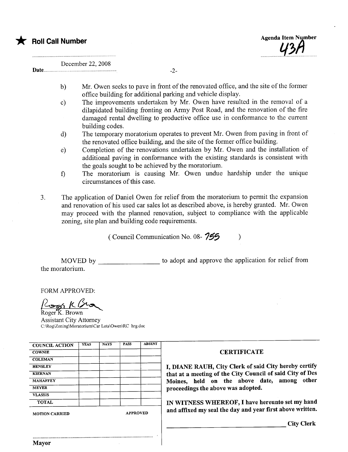

December 22, 2008

- b) Mr. Owen seeks to pave in front of the renovated office, and the site of the former office building for additional parking and vehicle display.
- c) The improvements undertaken by Mr. Owen have resulted in the removal of a dilapidated building fronting on Army Post Road, and the renovation of the fire damaged rental dwelling to productive office use in conformance to the current building codes.
- d) The temporary moratorium operates to prevent Mr. Owen from paving in front of the renovated office building, and the site of the former office building.
- e) Completion of the renovations undertaken by Mr. Owen and the installation of additional paving in conformance with the existing standards is consistent with the goals sought to be achieved by the moratorium.
- f) The moratorium is causing Mr. Owen undue hardship under the unique circumstances of this case.
- 3. The application of Daniel Owen for relief from the moratorium to permit the expansion and renovation of his used car sales lot as described above, is hereby granted. Mr. Owen may proceed with the planned renovation, subject to compliance with the applicable zoning, site plan and building code requirements.

( Council Communication No. 08- $755$  )

MOVED by \_\_\_\_\_\_\_\_\_\_\_\_\_\_\_\_\_\_\_\_ to adopt and approve the application for relief from the moratorium.

FORM APPROVED:

 $\frac{1}{\sqrt{2\pi N}}$  K  $\sqrt{2}$ <br>Roger K. Brown

Assistant City Attorney C:\Rog\Zoning\Moratorium\Car Lots\Owen\RC hrg.doc

| <b>COUNCIL ACTION</b> | <b>YEAS</b> | <b>NAYS</b>     | <b>PASS</b> | <b>ABSENT</b> |
|-----------------------|-------------|-----------------|-------------|---------------|
| <b>COWNIE</b>         |             |                 |             |               |
| <b>COLEMAN</b>        |             |                 |             |               |
| <b>HENSLEY</b>        |             |                 |             |               |
| <b>KIERNAN</b>        |             |                 |             |               |
| <b>MAHAFFEY</b>       |             |                 |             |               |
| <b>MEYER</b>          |             |                 |             |               |
| <b>VLASSIS</b>        |             |                 |             |               |
| <b>TOTAL</b>          |             |                 |             |               |
| MOTION CARRIED        |             | <b>APPROVED</b> |             |               |

..........................................................................................

#### **CERTIFICATE**

I, DIANE RAUH, City Clerk of said City hereby certify that at a meeting of the City Council of said City of Des Moines, held on the above date, among other proceedings the above was adopted.

IN WITNESS WHEREOF, I have hereunto set my hand and affixed my seal the day and year first above written.

City Clerk